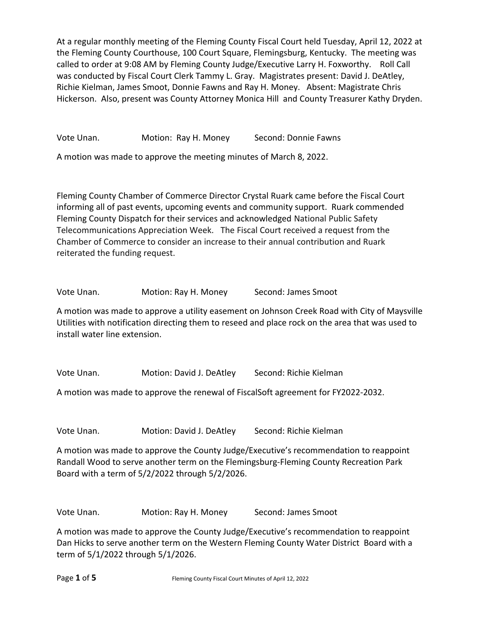At a regular monthly meeting of the Fleming County Fiscal Court held Tuesday, April 12, 2022 at the Fleming County Courthouse, 100 Court Square, Flemingsburg, Kentucky. The meeting was called to order at 9:08 AM by Fleming County Judge/Executive Larry H. Foxworthy. Roll Call was conducted by Fiscal Court Clerk Tammy L. Gray. Magistrates present: David J. DeAtley, Richie Kielman, James Smoot, Donnie Fawns and Ray H. Money. Absent: Magistrate Chris Hickerson. Also, present was County Attorney Monica Hill and County Treasurer Kathy Dryden.

Vote Unan. Motion: Ray H. Money Second: Donnie Fawns

A motion was made to approve the meeting minutes of March 8, 2022.

Fleming County Chamber of Commerce Director Crystal Ruark came before the Fiscal Court informing all of past events, upcoming events and community support. Ruark commended Fleming County Dispatch for their services and acknowledged National Public Safety Telecommunications Appreciation Week. The Fiscal Court received a request from the Chamber of Commerce to consider an increase to their annual contribution and Ruark reiterated the funding request.

Vote Unan. **Motion: Ray H. Money** Second: James Smoot

A motion was made to approve a utility easement on Johnson Creek Road with City of Maysville Utilities with notification directing them to reseed and place rock on the area that was used to install water line extension.

Vote Unan. Motion: David J. DeAtley Second: Richie Kielman

A motion was made to approve the renewal of FiscalSoft agreement for FY2022-2032.

Vote Unan. Motion: David J. DeAtley Second: Richie Kielman

A motion was made to approve the County Judge/Executive's recommendation to reappoint Randall Wood to serve another term on the Flemingsburg-Fleming County Recreation Park Board with a term of 5/2/2022 through 5/2/2026.

Vote Unan. Motion: Ray H. Money Second: James Smoot

A motion was made to approve the County Judge/Executive's recommendation to reappoint Dan Hicks to serve another term on the Western Fleming County Water District Board with a term of 5/1/2022 through 5/1/2026.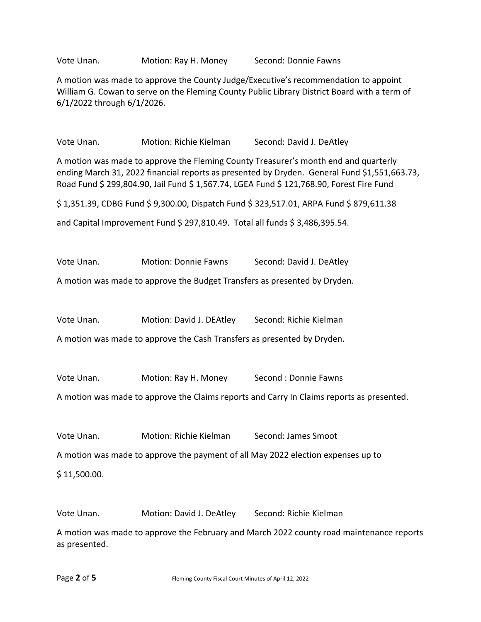Vote Unan. Motion: Ray H. Money Second: Donnie Fawns

A motion was made to approve the County Judge/Executive's recommendation to appoint William G. Cowan to serve on the Fleming County Public Library District Board with a term of 6/1/2022 through 6/1/2026.

Vote Unan. Motion: Richie Kielman Second: David J. DeAtley

A motion was made to approve the Fleming County Treasurer's month end and quarterly ending March 31, 2022 financial reports as presented by Dryden. General Fund \$1,551,663.73, Road Fund \$ 299,804.90, Jail Fund \$ 1,567.74, LGEA Fund \$ 121,768.90, Forest Fire Fund

\$ 1,351.39, CDBG Fund \$ 9,300.00, Dispatch Fund \$ 323,517.01, ARPA Fund \$ 879,611.38

and Capital Improvement Fund \$ 297,810.49. Total all funds \$ 3,486,395.54.

Vote Unan. Motion: Donnie Fawns Second: David J. DeAtley

A motion was made to approve the Budget Transfers as presented by Dryden.

Vote Unan. Motion: David J. DEAtley Second: Richie Kielman

A motion was made to approve the Cash Transfers as presented by Dryden.

Vote Unan. Motion: Ray H. Money Second : Donnie Fawns

A motion was made to approve the Claims reports and Carry In Claims reports as presented.

Vote Unan. Motion: Richie Kielman Second: James Smoot

A motion was made to approve the payment of all May 2022 election expenses up to

\$ 11,500.00.

Vote Unan. Motion: David J. DeAtley Second: Richie Kielman

A motion was made to approve the February and March 2022 county road maintenance reports as presented.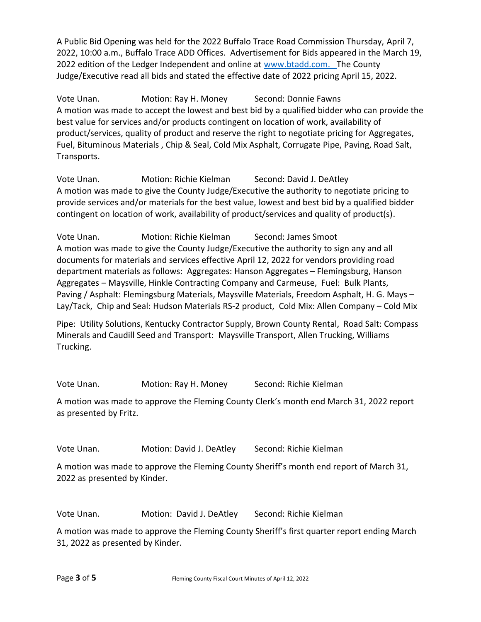A Public Bid Opening was held for the 2022 Buffalo Trace Road Commission Thursday, April 7, 2022, 10:00 a.m., Buffalo Trace ADD Offices. Advertisement for Bids appeared in the March 19, 2022 edition of the Ledger Independent and online at [www.btadd.com.](http://www.btadd.com/) The County Judge/Executive read all bids and stated the effective date of 2022 pricing April 15, 2022.

Vote Unan. Motion: Ray H. Money Second: Donnie Fawns A motion was made to accept the lowest and best bid by a qualified bidder who can provide the best value for services and/or products contingent on location of work, availability of product/services, quality of product and reserve the right to negotiate pricing for Aggregates, Fuel, Bituminous Materials , Chip & Seal, Cold Mix Asphalt, Corrugate Pipe, Paving, Road Salt, Transports.

Vote Unan. Motion: Richie Kielman Second: David J. DeAtley A motion was made to give the County Judge/Executive the authority to negotiate pricing to provide services and/or materials for the best value, lowest and best bid by a qualified bidder contingent on location of work, availability of product/services and quality of product(s).

Vote Unan. Motion: Richie Kielman Second: James Smoot A motion was made to give the County Judge/Executive the authority to sign any and all documents for materials and services effective April 12, 2022 for vendors providing road department materials as follows: Aggregates: Hanson Aggregates – Flemingsburg, Hanson Aggregates – Maysville, Hinkle Contracting Company and Carmeuse, Fuel: Bulk Plants, Paving / Asphalt: Flemingsburg Materials, Maysville Materials, Freedom Asphalt, H. G. Mays – Lay/Tack, Chip and Seal: Hudson Materials RS-2 product, Cold Mix: Allen Company – Cold Mix

Pipe: Utility Solutions, Kentucky Contractor Supply, Brown County Rental, Road Salt: Compass Minerals and Caudill Seed and Transport: Maysville Transport, Allen Trucking, Williams Trucking.

Vote Unan. Motion: Ray H. Money Second: Richie Kielman

A motion was made to approve the Fleming County Clerk's month end March 31, 2022 report as presented by Fritz.

Vote Unan. Motion: David J. DeAtley Second: Richie Kielman

A motion was made to approve the Fleming County Sheriff's month end report of March 31, 2022 as presented by Kinder.

Vote Unan. Motion: David J. DeAtley Second: Richie Kielman

A motion was made to approve the Fleming County Sheriff's first quarter report ending March 31, 2022 as presented by Kinder.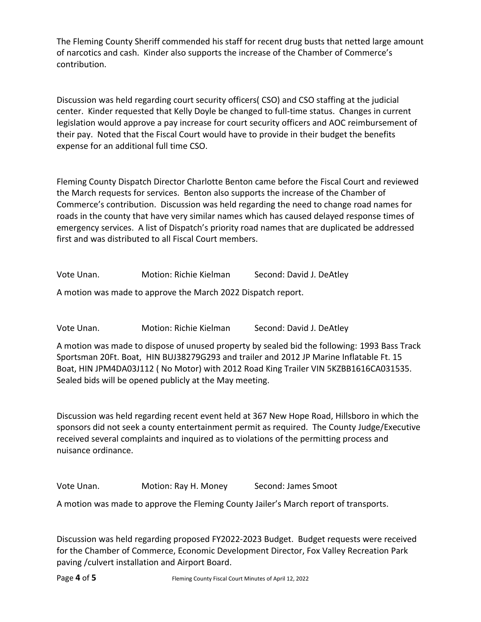The Fleming County Sheriff commended his staff for recent drug busts that netted large amount of narcotics and cash. Kinder also supports the increase of the Chamber of Commerce's contribution.

Discussion was held regarding court security officers( CSO) and CSO staffing at the judicial center. Kinder requested that Kelly Doyle be changed to full-time status. Changes in current legislation would approve a pay increase for court security officers and AOC reimbursement of their pay. Noted that the Fiscal Court would have to provide in their budget the benefits expense for an additional full time CSO.

Fleming County Dispatch Director Charlotte Benton came before the Fiscal Court and reviewed the March requests for services. Benton also supports the increase of the Chamber of Commerce's contribution. Discussion was held regarding the need to change road names for roads in the county that have very similar names which has caused delayed response times of emergency services. A list of Dispatch's priority road names that are duplicated be addressed first and was distributed to all Fiscal Court members.

Vote Unan. Motion: Richie Kielman Second: David J. DeAtley

A motion was made to approve the March 2022 Dispatch report.

Vote Unan. Motion: Richie Kielman Second: David J. DeAtley

A motion was made to dispose of unused property by sealed bid the following: 1993 Bass Track Sportsman 20Ft. Boat, HIN BUJ38279G293 and trailer and 2012 JP Marine Inflatable Ft. 15 Boat, HIN JPM4DA03J112 ( No Motor) with 2012 Road King Trailer VIN 5KZBB1616CA031535. Sealed bids will be opened publicly at the May meeting.

Discussion was held regarding recent event held at 367 New Hope Road, Hillsboro in which the sponsors did not seek a county entertainment permit as required. The County Judge/Executive received several complaints and inquired as to violations of the permitting process and nuisance ordinance.

Vote Unan. Motion: Ray H. Money Second: James Smoot

A motion was made to approve the Fleming County Jailer's March report of transports.

Discussion was held regarding proposed FY2022-2023 Budget. Budget requests were received for the Chamber of Commerce, Economic Development Director, Fox Valley Recreation Park paving /culvert installation and Airport Board.